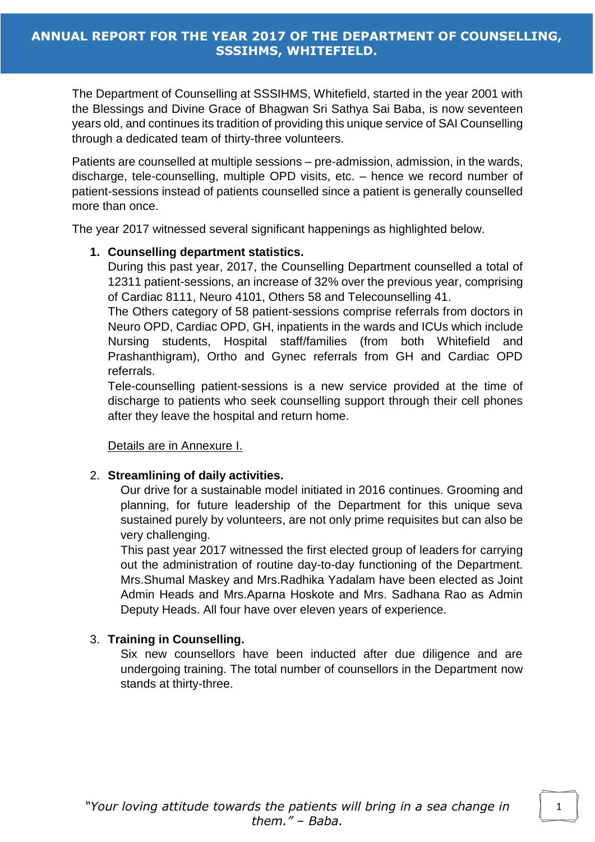The Department of Counselling at SSSIHMS, Whitefield, started in the year 2001 with the Blessings and Divine Grace of Bhagwan Sri Sathya Sai Baba, is now seventeen years old, and continues its tradition of providing this unique service of SAI Counselling through a dedicated team of thirty-three volunteers.

Patients are counselled at multiple sessions – pre-admission, admission, in the wards, discharge, tele-counselling, multiple OPD visits, etc. – hence we record number of patient-sessions instead of patients counselled since a patient is generally counselled more than once.

The year 2017 witnessed several significant happenings as highlighted below.

## **1. Counselling department statistics.**

During this past year, 2017, the Counselling Department counselled a total of 12311 patient-sessions, an increase of 32% over the previous year, comprising of Cardiac 8111, Neuro 4101, Others 58 and Telecounselling 41.

The Others category of 58 patient-sessions comprise referrals from doctors in Neuro OPD, Cardiac OPD, GH, inpatients in the wards and ICUs which include Nursing students, Hospital staff/families (from both Whitefield and Prashanthigram), Ortho and Gynec referrals from GH and Cardiac OPD referrals.

Tele-counselling patient-sessions is a new service provided at the time of discharge to patients who seek counselling support through their cell phones after they leave the hospital and return home.

Details are in Annexure I.

## 2. **Streamlining of daily activities.**

Our drive for a sustainable model initiated in 2016 continues. Grooming and planning, for future leadership of the Department for this unique seva sustained purely by volunteers, are not only prime requisites but can also be very challenging.

This past year 2017 witnessed the first elected group of leaders for carrying out the administration of routine day-to-day functioning of the Department. Mrs.Shumal Maskey and Mrs.Radhika Yadalam have been elected as Joint Admin Heads and Mrs.Aparna Hoskote and Mrs. Sadhana Rao as Admin Deputy Heads. All four have over eleven years of experience.

## 3. **Training in Counselling.**

Six new counsellors have been inducted after due diligence and are undergoing training. The total number of counsellors in the Department now stands at thirty-three.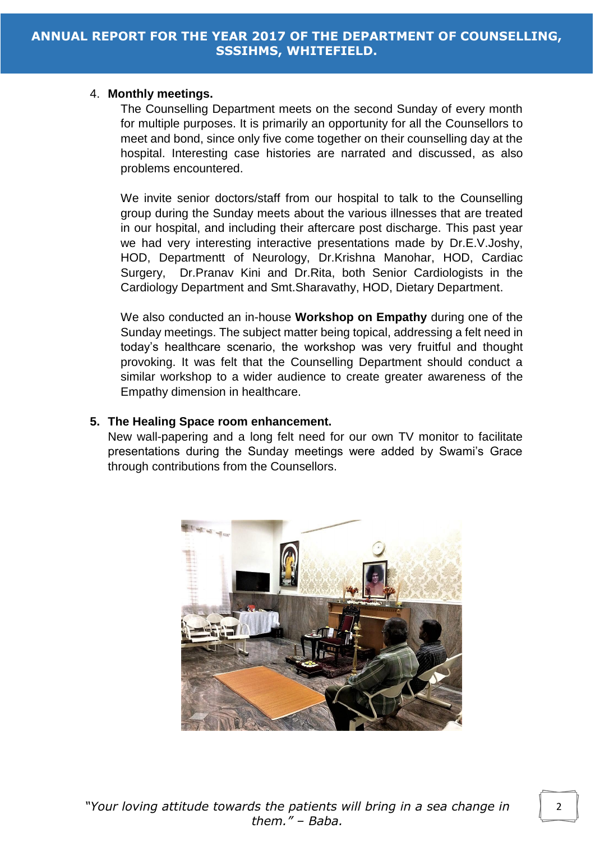#### 4. **Monthly meetings.**

The Counselling Department meets on the second Sunday of every month for multiple purposes. It is primarily an opportunity for all the Counsellors to meet and bond, since only five come together on their counselling day at the hospital. Interesting case histories are narrated and discussed, as also problems encountered.

We invite senior doctors/staff from our hospital to talk to the Counselling group during the Sunday meets about the various illnesses that are treated in our hospital, and including their aftercare post discharge. This past year we had very interesting interactive presentations made by Dr.E.V.Joshy, HOD, Departmentt of Neurology, Dr.Krishna Manohar, HOD, Cardiac Surgery, Dr.Pranav Kini and Dr.Rita, both Senior Cardiologists in the Cardiology Department and Smt.Sharavathy, HOD, Dietary Department.

We also conducted an in-house **Workshop on Empathy** during one of the Sunday meetings. The subject matter being topical, addressing a felt need in today's healthcare scenario, the workshop was very fruitful and thought provoking. It was felt that the Counselling Department should conduct a similar workshop to a wider audience to create greater awareness of the Empathy dimension in healthcare.

## **5. The Healing Space room enhancement.**

New wall-papering and a long felt need for our own TV monitor to facilitate presentations during the Sunday meetings were added by Swami's Grace through contributions from the Counsellors.

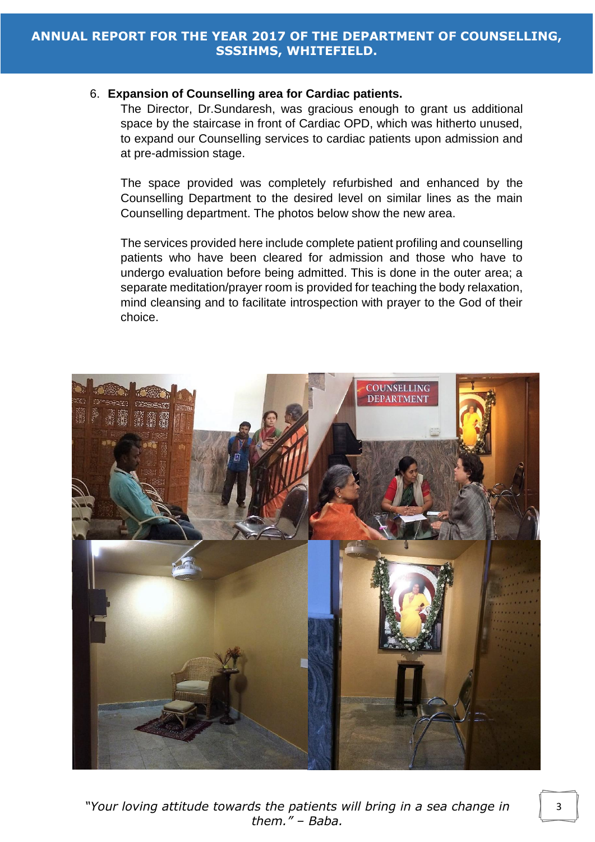#### 6. **Expansion of Counselling area for Cardiac patients.**

The Director, Dr.Sundaresh, was gracious enough to grant us additional space by the staircase in front of Cardiac OPD, which was hitherto unused, to expand our Counselling services to cardiac patients upon admission and at pre-admission stage.

The space provided was completely refurbished and enhanced by the Counselling Department to the desired level on similar lines as the main Counselling department. The photos below show the new area.

The services provided here include complete patient profiling and counselling patients who have been cleared for admission and those who have to undergo evaluation before being admitted. This is done in the outer area; a separate meditation/prayer room is provided for teaching the body relaxation, mind cleansing and to facilitate introspection with prayer to the God of their choice.